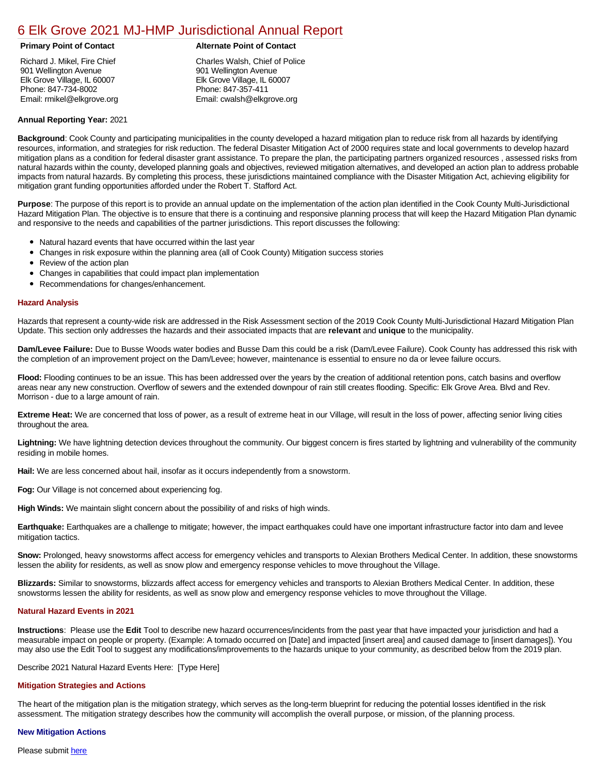# [6 Elk Grove 2021 MJ-HMP Jurisdictional Annual Report](https://ccdhsem-elkgrove.isc-cemp.com/Cemp/Details?id=8322782)

Richard J. Mikel, Fire Chief 901 Wellington Avenue Elk Grove Village, IL 60007 Phone: 847-734-8002 Email: rmikel@elkgrove.org

# **Primary Point of Contact Alternate Point of Contact**

Charles Walsh, Chief of Police 901 Wellington Avenue Elk Grove Village, IL 60007 Phone: 847-357-411 Email: cwalsh@elkgrove.org

### **Annual Reporting Year:** 2021

**Background**: Cook County and participating municipalities in the county developed a hazard mitigation plan to reduce risk from all hazards by identifying resources, information, and strategies for risk reduction. The federal Disaster Mitigation Act of 2000 requires state and local governments to develop hazard mitigation plans as a condition for federal disaster grant assistance. To prepare the plan, the participating partners organized resources , assessed risks from natural hazards within the county, developed planning goals and objectives, reviewed mitigation alternatives, and developed an action plan to address probable impacts from natural hazards. By completing this process, these jurisdictions maintained compliance with the Disaster Mitigation Act, achieving eligibility for mitigation grant funding opportunities afforded under the Robert T. Stafford Act.

**Purpose**: The purpose of this report is to provide an annual update on the implementation of the action plan identified in the Cook County Multi-Jurisdictional Hazard Mitigation Plan. The objective is to ensure that there is a continuing and responsive planning process that will keep the Hazard Mitigation Plan dynamic and responsive to the needs and capabilities of the partner jurisdictions. This report discusses the following:

- Natural hazard events that have occurred within the last year
- $\bullet$ Changes in risk exposure within the planning area (all of Cook County) Mitigation success stories
- Review of the action plan  $\bullet$
- $\bullet$ Changes in capabilities that could impact plan implementation
- Recommendations for changes/enhancement.

### **Hazard Analysis**

Hazards that represent a county-wide risk are addressed in the Risk Assessment section of the 2019 Cook County Multi-Jurisdictional Hazard Mitigation Plan Update. This section only addresses the hazards and their associated impacts that are **relevant** and **unique** to the municipality.

**Dam/Levee Failure:** Due to Busse Woods water bodies and Busse Dam this could be a risk (Dam/Levee Failure). Cook County has addressed this risk with the completion of an improvement project on the Dam/Levee; however, maintenance is essential to ensure no da or levee failure occurs.

**Flood:** Flooding continues to be an issue. This has been addressed over the years by the creation of additional retention pons, catch basins and overflow areas near any new construction. Overflow of sewers and the extended downpour of rain still creates flooding. Specific: Elk Grove Area. Blvd and Rev. Morrison - due to a large amount of rain.

**Extreme Heat:** We are concerned that loss of power, as a result of extreme heat in our Village, will result in the loss of power, affecting senior living cities throughout the area.

**Lightning:** We have lightning detection devices throughout the community. Our biggest concern is fires started by lightning and vulnerability of the community residing in mobile homes.

**Hail:** We are less concerned about hail, insofar as it occurs independently from a snowstorm.

**Fog:** Our Village is not concerned about experiencing fog.

**High Winds:** We maintain slight concern about the possibility of and risks of high winds.

**Earthquake:** Earthquakes are a challenge to mitigate; however, the impact earthquakes could have one important infrastructure factor into dam and levee mitigation tactics.

**Snow:** Prolonged, heavy snowstorms affect access for emergency vehicles and transports to Alexian Brothers Medical Center. In addition, these snowstorms lessen the ability for residents, as well as snow plow and emergency response vehicles to move throughout the Village.

**Blizzards:** Similar to snowstorms, blizzards affect access for emergency vehicles and transports to Alexian Brothers Medical Center. In addition, these snowstorms lessen the ability for residents, as well as snow plow and emergency response vehicles to move throughout the Village.

# **Natural Hazard Events in 2021**

**Instructions**: Please use the **Edit** Tool to describe new hazard occurrences/incidents from the past year that have impacted your jurisdiction and had a measurable impact on people or property. (Example: A tornado occurred on [Date] and impacted [insert area] and caused damage to [insert damages]). You may also use the Edit Tool to suggest any modifications/improvements to the hazards unique to your community, as described below from the 2019 plan.

Describe 2021 Natural Hazard Events Here: [Type Here]

#### **Mitigation Strategies and Actions**

The heart of the mitigation plan is the mitigation strategy, which serves as the long-term blueprint for reducing the potential losses identified in the risk assessment. The mitigation strategy describes how the community will accomplish the overall purpose, or mission, of the planning process.

# **New Mitigation Actions**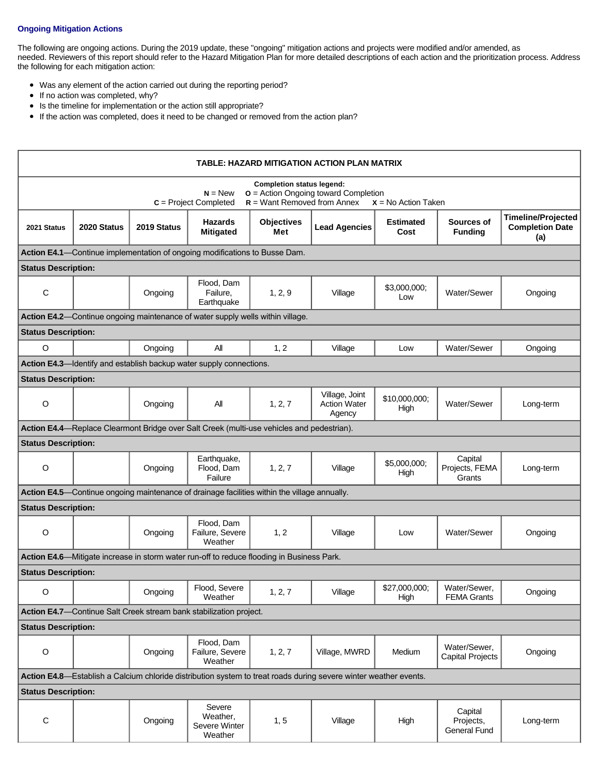# **Ongoing Mitigation Actions**

The following are ongoing actions. During the 2019 update, these "ongoing" mitigation actions and projects were modified and/or amended, as needed. Reviewers of this report should refer to the Hazard Mitigation Plan for more detailed descriptions of each action and the prioritization process. Address the following for each mitigation action:

- Was any element of the action carried out during the reporting period?
- If no action was completed, why?
- $\bullet$ Is the timeline for implementation or the action still appropriate?
- If the action was completed, does it need to be changed or removed from the action plan?

| TABLE: HAZARD MITIGATION ACTION PLAN MATRIX                                                                                                                                       |             |             |                                                                                           |                          |                                                 |                          |                                         |                                                            |  |  |  |  |
|-----------------------------------------------------------------------------------------------------------------------------------------------------------------------------------|-------------|-------------|-------------------------------------------------------------------------------------------|--------------------------|-------------------------------------------------|--------------------------|-----------------------------------------|------------------------------------------------------------|--|--|--|--|
| <b>Completion status legend:</b><br><b>o</b> = Action Ongoing toward Completion<br>$N = New$<br>$R =$ Want Removed from Annex<br>$c =$ Project Completed<br>$X = No$ Action Taken |             |             |                                                                                           |                          |                                                 |                          |                                         |                                                            |  |  |  |  |
| 2021 Status                                                                                                                                                                       | 2020 Status | 2019 Status | <b>Hazards</b><br><b>Mitigated</b>                                                        | <b>Objectives</b><br>Met | <b>Lead Agencies</b>                            | <b>Estimated</b><br>Cost | Sources of<br><b>Funding</b>            | <b>Timeline/Projected</b><br><b>Completion Date</b><br>(a) |  |  |  |  |
| Action E4.1-Continue implementation of ongoing modifications to Busse Dam.                                                                                                        |             |             |                                                                                           |                          |                                                 |                          |                                         |                                                            |  |  |  |  |
| <b>Status Description:</b>                                                                                                                                                        |             |             |                                                                                           |                          |                                                 |                          |                                         |                                                            |  |  |  |  |
| C                                                                                                                                                                                 |             | Ongoing     | Flood, Dam<br>Failure,<br>Earthquake                                                      | 1, 2, 9                  | Village                                         | \$3,000,000;<br>Low      | Water/Sewer                             | Ongoing                                                    |  |  |  |  |
|                                                                                                                                                                                   |             |             | Action E4.2-Continue ongoing maintenance of water supply wells within village.            |                          |                                                 |                          |                                         |                                                            |  |  |  |  |
| <b>Status Description:</b>                                                                                                                                                        |             |             |                                                                                           |                          |                                                 |                          |                                         |                                                            |  |  |  |  |
| O                                                                                                                                                                                 |             | Ongoing     | All                                                                                       | 1, 2                     | Village                                         | Low                      | Water/Sewer                             | Ongoing                                                    |  |  |  |  |
|                                                                                                                                                                                   |             |             | Action E4.3-Identify and establish backup water supply connections.                       |                          |                                                 |                          |                                         |                                                            |  |  |  |  |
| <b>Status Description:</b>                                                                                                                                                        |             |             |                                                                                           |                          |                                                 |                          |                                         |                                                            |  |  |  |  |
| $\circ$                                                                                                                                                                           |             | Ongoing     | All                                                                                       | 1, 2, 7                  | Village, Joint<br><b>Action Water</b><br>Agency | \$10,000,000;<br>High    | Water/Sewer                             | Long-term                                                  |  |  |  |  |
|                                                                                                                                                                                   |             |             | Action E4.4-Replace Clearmont Bridge over Salt Creek (multi-use vehicles and pedestrian). |                          |                                                 |                          |                                         |                                                            |  |  |  |  |
| <b>Status Description:</b>                                                                                                                                                        |             |             |                                                                                           |                          |                                                 |                          |                                         |                                                            |  |  |  |  |
| $\circ$                                                                                                                                                                           |             | Ongoing     | Earthquake,<br>Flood, Dam<br>Failure                                                      | 1, 2, 7                  | Village                                         | \$5,000,000;<br>High     | Capital<br>Projects, FEMA<br>Grants     | Long-term                                                  |  |  |  |  |
| Action E4.5—Continue ongoing maintenance of drainage facilities within the village annually.                                                                                      |             |             |                                                                                           |                          |                                                 |                          |                                         |                                                            |  |  |  |  |
| <b>Status Description:</b>                                                                                                                                                        |             |             |                                                                                           |                          |                                                 |                          |                                         |                                                            |  |  |  |  |
| $\circ$                                                                                                                                                                           |             | Ongoing     | Flood, Dam<br>Failure, Severe<br>Weather                                                  | 1, 2                     | Village                                         | Low                      | Water/Sewer                             | Ongoing                                                    |  |  |  |  |
|                                                                                                                                                                                   |             |             | Action E4.6—Mitigate increase in storm water run-off to reduce flooding in Business Park. |                          |                                                 |                          |                                         |                                                            |  |  |  |  |
| <b>Status Description:</b>                                                                                                                                                        |             |             |                                                                                           |                          |                                                 |                          |                                         |                                                            |  |  |  |  |
| $\circ$                                                                                                                                                                           |             | Ongoing     | Flood, Severe<br>Weather                                                                  | 1, 2, 7                  | Village                                         | \$27,000,000;<br>High    | Water/Sewer,<br><b>FEMA Grants</b>      | Ongoing                                                    |  |  |  |  |
|                                                                                                                                                                                   |             |             | Action E4.7-Continue Salt Creek stream bank stabilization project.                        |                          |                                                 |                          |                                         |                                                            |  |  |  |  |
| <b>Status Description:</b>                                                                                                                                                        |             |             |                                                                                           |                          |                                                 |                          |                                         |                                                            |  |  |  |  |
| $\mathsf O$                                                                                                                                                                       |             | Ongoing     | Flood, Dam<br>Failure, Severe<br>Weather                                                  | 1, 2, 7                  | Village, MWRD                                   | Medium                   | Water/Sewer,<br><b>Capital Projects</b> | Ongoing                                                    |  |  |  |  |
| Action E4.8-Establish a Calcium chloride distribution system to treat roads during severe winter weather events.                                                                  |             |             |                                                                                           |                          |                                                 |                          |                                         |                                                            |  |  |  |  |
| <b>Status Description:</b>                                                                                                                                                        |             |             |                                                                                           |                          |                                                 |                          |                                         |                                                            |  |  |  |  |
| $\mathsf C$                                                                                                                                                                       |             | Ongoing     | Severe<br>Weather,<br>Severe Winter<br>Weather                                            | 1, 5                     | Village                                         | High                     | Capital<br>Projects,<br>General Fund    | Long-term                                                  |  |  |  |  |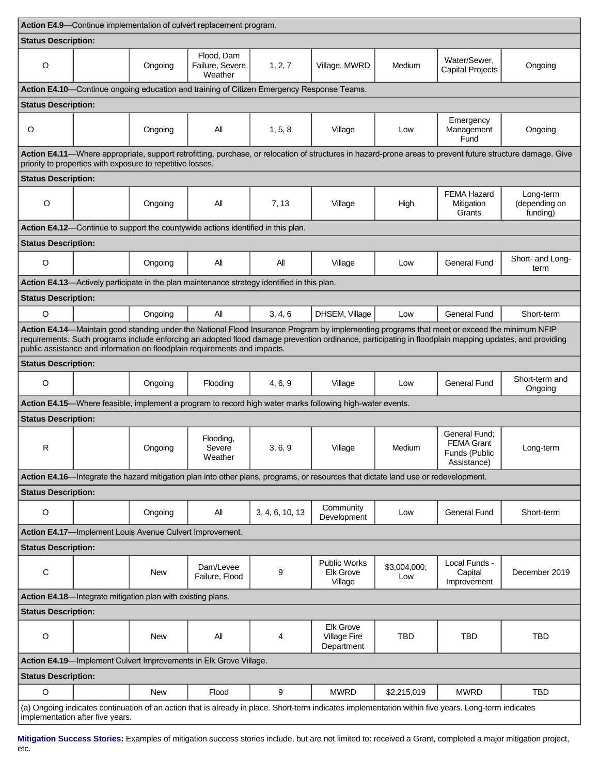| Action E4.9—Continue implementation of culvert replacement program.                                                                                                                                                                                                                                                                                                                 |  |                                                             |                                                                                             |                 |                                                                                                                                    |                     |                                                                    |                                        |  |  |
|-------------------------------------------------------------------------------------------------------------------------------------------------------------------------------------------------------------------------------------------------------------------------------------------------------------------------------------------------------------------------------------|--|-------------------------------------------------------------|---------------------------------------------------------------------------------------------|-----------------|------------------------------------------------------------------------------------------------------------------------------------|---------------------|--------------------------------------------------------------------|----------------------------------------|--|--|
| <b>Status Description:</b>                                                                                                                                                                                                                                                                                                                                                          |  |                                                             |                                                                                             |                 |                                                                                                                                    |                     |                                                                    |                                        |  |  |
| O                                                                                                                                                                                                                                                                                                                                                                                   |  | Ongoing                                                     | Flood, Dam<br>Failure, Severe<br>Weather                                                    | 1, 2, 7         | Village, MWRD                                                                                                                      | Medium              | Water/Sewer,<br><b>Capital Projects</b>                            | Ongoing                                |  |  |
| Action E4.10—Continue ongoing education and training of Citizen Emergency Response Teams.                                                                                                                                                                                                                                                                                           |  |                                                             |                                                                                             |                 |                                                                                                                                    |                     |                                                                    |                                        |  |  |
| <b>Status Description:</b>                                                                                                                                                                                                                                                                                                                                                          |  |                                                             |                                                                                             |                 |                                                                                                                                    |                     |                                                                    |                                        |  |  |
| O                                                                                                                                                                                                                                                                                                                                                                                   |  | Ongoing                                                     | All                                                                                         | 1, 5, 8         | Village                                                                                                                            | Low                 | Emergency<br>Management<br>Fund                                    | Ongoing                                |  |  |
| Action E4.11-Where appropriate, support retrofitting, purchase, or relocation of structures in hazard-prone areas to prevent future structure damage. Give<br>priority to properties with exposure to repetitive losses.                                                                                                                                                            |  |                                                             |                                                                                             |                 |                                                                                                                                    |                     |                                                                    |                                        |  |  |
| <b>Status Description:</b>                                                                                                                                                                                                                                                                                                                                                          |  |                                                             |                                                                                             |                 |                                                                                                                                    |                     |                                                                    |                                        |  |  |
| $\circ$                                                                                                                                                                                                                                                                                                                                                                             |  | Ongoing                                                     | All                                                                                         | 7, 13           | Village                                                                                                                            | High                | <b>FEMA Hazard</b><br>Mitigation<br>Grants                         | Long-term<br>(depending on<br>funding) |  |  |
|                                                                                                                                                                                                                                                                                                                                                                                     |  |                                                             | Action E4.12-Continue to support the countywide actions identified in this plan.            |                 |                                                                                                                                    |                     |                                                                    |                                        |  |  |
| <b>Status Description:</b>                                                                                                                                                                                                                                                                                                                                                          |  |                                                             |                                                                                             |                 |                                                                                                                                    |                     |                                                                    |                                        |  |  |
| $\mathsf O$                                                                                                                                                                                                                                                                                                                                                                         |  | Ongoing                                                     | All                                                                                         | All             | Village                                                                                                                            | Low                 | <b>General Fund</b>                                                | Short- and Long-<br>term               |  |  |
|                                                                                                                                                                                                                                                                                                                                                                                     |  |                                                             | Action E4.13—Actively participate in the plan maintenance strategy identified in this plan. |                 |                                                                                                                                    |                     |                                                                    |                                        |  |  |
| <b>Status Description:</b>                                                                                                                                                                                                                                                                                                                                                          |  |                                                             |                                                                                             |                 |                                                                                                                                    |                     |                                                                    |                                        |  |  |
| $\circ$                                                                                                                                                                                                                                                                                                                                                                             |  | Ongoing                                                     | All                                                                                         | 3, 4, 6         | DHSEM, Village                                                                                                                     | Low                 | <b>General Fund</b>                                                | Short-term                             |  |  |
| Action E4.14—Maintain good standing under the National Flood Insurance Program by implementing programs that meet or exceed the minimum NFIP<br>requirements. Such programs include enforcing an adopted flood damage prevention ordinance, participating in floodplain mapping updates, and providing<br>public assistance and information on floodplain requirements and impacts. |  |                                                             |                                                                                             |                 |                                                                                                                                    |                     |                                                                    |                                        |  |  |
| <b>Status Description:</b>                                                                                                                                                                                                                                                                                                                                                          |  |                                                             |                                                                                             |                 |                                                                                                                                    |                     |                                                                    |                                        |  |  |
| O                                                                                                                                                                                                                                                                                                                                                                                   |  | Ongoing                                                     | Flooding                                                                                    | 4, 6, 9         | Village                                                                                                                            | Low                 | <b>General Fund</b>                                                | Short-term and<br>Ongoing              |  |  |
|                                                                                                                                                                                                                                                                                                                                                                                     |  |                                                             |                                                                                             |                 | Action E4.15—Where feasible, implement a program to record high water marks following high-water events.                           |                     |                                                                    |                                        |  |  |
| <b>Status Description:</b>                                                                                                                                                                                                                                                                                                                                                          |  |                                                             |                                                                                             |                 |                                                                                                                                    |                     |                                                                    |                                        |  |  |
| R                                                                                                                                                                                                                                                                                                                                                                                   |  | Ongoing                                                     | Flooding,<br>Severe<br>Weather                                                              | 3, 6, 9         | Village                                                                                                                            | Medium              | General Fund:<br><b>FEMA Grant</b><br>Funds (Public<br>Assistance) | Long-term                              |  |  |
|                                                                                                                                                                                                                                                                                                                                                                                     |  |                                                             |                                                                                             |                 | Action E4.16—Integrate the hazard mitigation plan into other plans, programs, or resources that dictate land use or redevelopment. |                     |                                                                    |                                        |  |  |
| <b>Status Description:</b>                                                                                                                                                                                                                                                                                                                                                          |  |                                                             |                                                                                             |                 |                                                                                                                                    |                     |                                                                    |                                        |  |  |
| O                                                                                                                                                                                                                                                                                                                                                                                   |  | Ongoing                                                     | Αll                                                                                         | 3, 4, 6, 10, 13 | Community<br>Development                                                                                                           | Low                 | <b>General Fund</b>                                                | Short-term                             |  |  |
|                                                                                                                                                                                                                                                                                                                                                                                     |  | Action E4.17-Implement Louis Avenue Culvert Improvement.    |                                                                                             |                 |                                                                                                                                    |                     |                                                                    |                                        |  |  |
| <b>Status Description:</b>                                                                                                                                                                                                                                                                                                                                                          |  |                                                             |                                                                                             |                 |                                                                                                                                    |                     |                                                                    |                                        |  |  |
| $\mathbf C$                                                                                                                                                                                                                                                                                                                                                                         |  | <b>New</b>                                                  | Dam/Levee<br>Failure, Flood                                                                 | 9               | <b>Public Works</b><br><b>Elk Grove</b><br>Village                                                                                 | \$3,004,000;<br>Low | Local Funds -<br>Capital<br>Improvement                            | December 2019                          |  |  |
|                                                                                                                                                                                                                                                                                                                                                                                     |  | Action E4.18-Integrate mitigation plan with existing plans. |                                                                                             |                 |                                                                                                                                    |                     |                                                                    |                                        |  |  |
| <b>Status Description:</b>                                                                                                                                                                                                                                                                                                                                                          |  |                                                             |                                                                                             |                 |                                                                                                                                    |                     |                                                                    |                                        |  |  |
| O                                                                                                                                                                                                                                                                                                                                                                                   |  | New                                                         | All                                                                                         | 4               | Elk Grove<br>Village Fire<br>Department                                                                                            | <b>TBD</b>          | TBD                                                                | <b>TBD</b>                             |  |  |
| Action E4.19-Implement Culvert Improvements in Elk Grove Village.                                                                                                                                                                                                                                                                                                                   |  |                                                             |                                                                                             |                 |                                                                                                                                    |                     |                                                                    |                                        |  |  |
| <b>Status Description:</b>                                                                                                                                                                                                                                                                                                                                                          |  |                                                             |                                                                                             |                 |                                                                                                                                    |                     |                                                                    |                                        |  |  |
| O                                                                                                                                                                                                                                                                                                                                                                                   |  | New                                                         | Flood                                                                                       | 9               | <b>MWRD</b>                                                                                                                        | \$2,215,019         | <b>MWRD</b>                                                        | <b>TBD</b>                             |  |  |
| (a) Ongoing indicates continuation of an action that is already in place. Short-term indicates implementation within five years. Long-term indicates<br>implementation after five years.                                                                                                                                                                                            |  |                                                             |                                                                                             |                 |                                                                                                                                    |                     |                                                                    |                                        |  |  |

**Mitigation Success Stories:** Examples of mitigation success stories include, but are not limited to: received a Grant, completed a major mitigation project, etc.